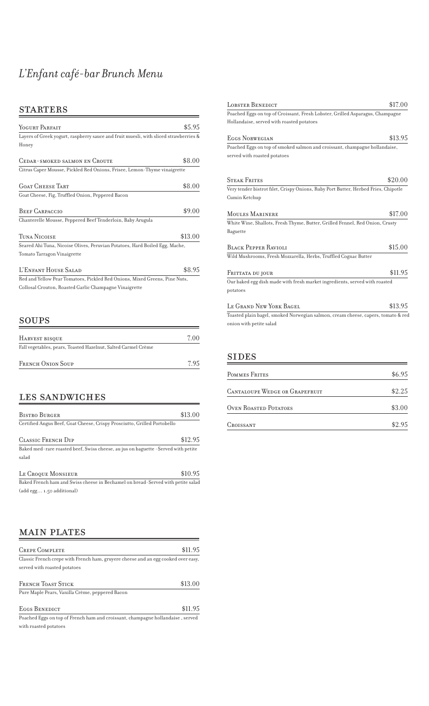# *L'Enfant café-bar Brunch Menu*

### **STARTERS**

| YOGURT PARFAIT                                                                       | \$5.95  |
|--------------------------------------------------------------------------------------|---------|
| Layers of Greek yogurt, raspberry sauce and fruit muesli, with sliced strawberries & |         |
| Honey                                                                                |         |
|                                                                                      |         |
| <b>CEDAR-SMOKED SALMON EN CROUTE</b>                                                 | \$8.00  |
| Citrus Caper Mousse, Pickled Red Onions, Frisee, Lemon-Thyme vinaigrette             |         |
|                                                                                      |         |
| <b>GOAT CHEESE TART</b>                                                              | \$8.00  |
| Goat Cheese, Fig, Truffled Onion, Peppered Bacon                                     |         |
| <b>BEEF CARPACCIO</b>                                                                | \$9.00  |
|                                                                                      |         |
| Chanterelle Mousse, Peppered Beef Tenderloin, Baby Arugula                           |         |
| TUNA NICOISE                                                                         | \$13.00 |
| Seared Ahi Tuna, Nicoise Olives, Peruvian Potatoes, Hard Boiled Egg, Mache,          |         |
| Tomato Tarragon Vinaigrette                                                          |         |
| L'ENFANT HOUSE SALAD                                                                 | \$8.95  |
| Red and Yellow Pear Tomatoes, Pickled Red Onions, Mixed Greens, Pine Nuts,           |         |
| Collosal Crouton, Roasted Garlic Champagne Vinaigrette                               |         |
|                                                                                      |         |
|                                                                                      |         |
|                                                                                      |         |
| $\operatorname{SOUPS}$                                                               |         |

| 7.00 |
|------|
|      |
| 795  |
|      |

### LES SANDWICHES

| <b>BISTRO BURGER</b>                                                              | \$13.00 |
|-----------------------------------------------------------------------------------|---------|
| Certified Angus Beef, Goat Cheese, Crispy Prosciutto, Grilled Portobello          |         |
| CLASSIC FRENCH DIP                                                                | \$12.95 |
| Baked med-rare roasted beef, Swiss cheese, au jus on baguette -Served with petite |         |
| salad                                                                             |         |
| LE CROQUE MONSIEUR                                                                | \$10.95 |
| Baked French ham and Swiss cheese in Bechamel on bread-Served with petite salad   |         |
| (add egg 1.50 additional)                                                         |         |

| <b>MAIN PLATES</b>                                                                |         |
|-----------------------------------------------------------------------------------|---------|
| <b>CREPE COMPLETE</b>                                                             | \$11.95 |
| Classic French crepe with French ham, gruyere cheese and an egg cooked over easy, |         |
| served with roasted potatoes                                                      |         |
| <b>FRENCH TOAST STICK</b>                                                         | \$13.00 |
| Pure Maple Pears, Vanilla Crème, peppered Bacon                                   |         |
| EGGS BENEDICT                                                                     | \$11.95 |
| Poached Eggs on top of French ham and croissant, champagne hollandaise, served    |         |
| with roasted potatoes                                                             |         |

| LOBSTER BENEDICT                                                                   | \$17.00 |
|------------------------------------------------------------------------------------|---------|
| Poached Eggs on top of Croissant, Fresh Lobster, Grilled Asparagus, Champagne      |         |
| Hollandaise, served with roasted potatoes                                          |         |
| EGGS NORWEGIAN                                                                     | \$13.95 |
| Poached Eggs on top of smoked salmon and croissant, champagne hollandaise,         |         |
| served with roasted potatoes                                                       |         |
|                                                                                    |         |
| <b>STEAK FRITES</b>                                                                | \$20.00 |
| Very tender bistrot filet, Crispy Onions, Ruby Port Butter, Herbed Fries, Chipotle |         |
| Cumin Ketchup                                                                      |         |
| <b>MOULES MARINERE</b>                                                             | \$17.00 |
| White Wine, Shallots, Fresh Thyme, Butter, Grilled Fennel, Red Onion, Crusty       |         |
| Baguette                                                                           |         |
| <b>BLACK PEPPER RAVIOLI</b>                                                        | \$15.00 |
| Wild Mushrooms, Fresh Mozzarella, Herbs, Truffled Cognac Butter                    |         |
| FRITTATA DU JOUR                                                                   | \$11.95 |
| Our baked egg dish made with fresh market ingredients, served with roasted         |         |
| potatoes                                                                           |         |
| LE GRAND NEW YORK BAGEL                                                            | \$13.95 |
| Toasted plain bagel, smoked Norwegian salmon, cream cheese, capers, tomato & red   |         |

#### SIDES

onion with petite salad

| POMMES FRITES                  | \$6.95 |
|--------------------------------|--------|
| CANTALOUPE WEDGE OR GRAPEFRUIT | \$2.25 |
| <b>OVEN ROASTED POTATOES</b>   | \$3.00 |
| CROISSANT                      | \$2.95 |